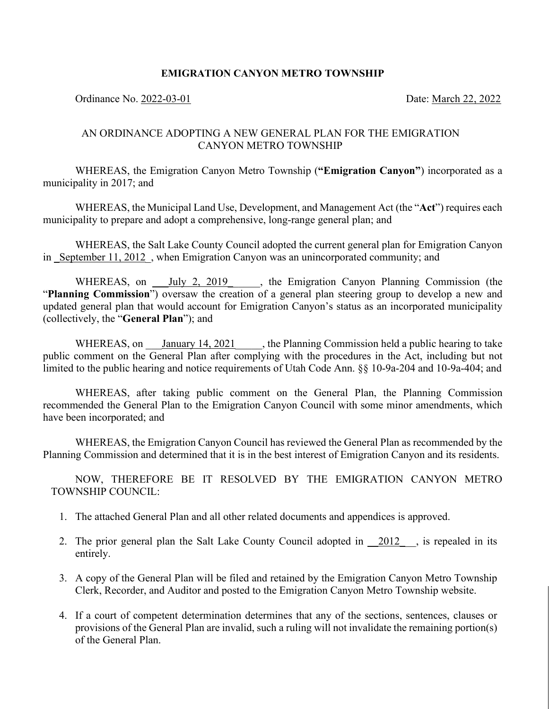## **EMIGRATION CANYON METRO TOWNSHIP**

### Ordinance No. 2022-03-01 Date: March 22, 2022

# AN ORDINANCE ADOPTING A NEW GENERAL PLAN FOR THE EMIGRATION CANYON METRO TOWNSHIP

WHEREAS, the Emigration Canyon Metro Township (**"Emigration Canyon"**) incorporated as a municipality in 2017; and

WHEREAS, the Municipal Land Use, Development, and Management Act (the "**Act**") requires each municipality to prepare and adopt a comprehensive, long-range general plan; and

WHEREAS, the Salt Lake County Council adopted the current general plan for Emigration Canyon in September 11, 2012, when Emigration Canyon was an unincorporated community; and

WHEREAS, on July 2, 2019 the Emigration Canyon Planning Commission (the "**Planning Commission**") oversaw the creation of a general plan steering group to develop a new and updated general plan that would account for Emigration Canyon's status as an incorporated municipality (collectively, the "**General Plan**"); and

WHEREAS, on *January 14, 2021*, the Planning Commission held a public hearing to take public comment on the General Plan after complying with the procedures in the Act, including but not limited to the public hearing and notice requirements of Utah Code Ann. §§ 10-9a-204 and 10-9a-404; and

WHEREAS, after taking public comment on the General Plan, the Planning Commission recommended the General Plan to the Emigration Canyon Council with some minor amendments, which have been incorporated; and

WHEREAS, the Emigration Canyon Council has reviewed the General Plan as recommended by the Planning Commission and determined that it is in the best interest of Emigration Canyon and its residents.

NOW, THEREFORE BE IT RESOLVED BY THE EMIGRATION CANYON METRO TOWNSHIP COUNCIL:

- 1. The attached General Plan and all other related documents and appendices is approved.
- 2. The prior general plan the Salt Lake County Council adopted in  $\frac{2012}{\cdot}$ , is repealed in its entirely.
- 3. A copy of the General Plan will be filed and retained by the Emigration Canyon Metro Township Clerk, Recorder, and Auditor and posted to the Emigration Canyon Metro Township website.
- 4. If a court of competent determination determines that any of the sections, sentences, clauses or provisions of the General Plan are invalid, such a ruling will not invalidate the remaining portion(s) of the General Plan.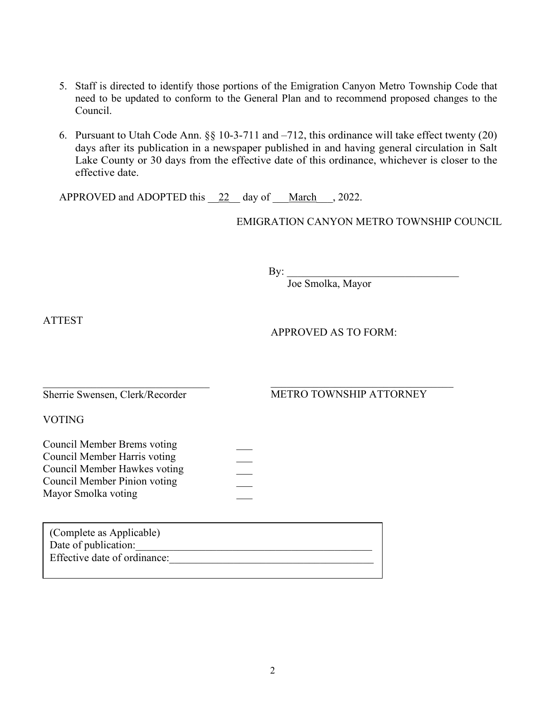- 5. Staff is directed to identify those portions of the Emigration Canyon Metro Township Code that need to be updated to conform to the General Plan and to recommend proposed changes to the Council.
- 6. Pursuant to Utah Code Ann. §§ 10-3-711 and –712, this ordinance will take effect twenty (20) days after its publication in a newspaper published in and having general circulation in Salt Lake County or 30 days from the effective date of this ordinance, whichever is closer to the effective date.

APPROVED and ADOPTED this  $\frac{22}{24}$  day of March , 2022.

EMIGRATION CANYON METRO TOWNSHIP COUNCIL

 $\mathbf{By:}$ 

Joe Smolka, Mayor

ATTEST

APPROVED AS TO FORM:

 $\mathcal{L}_\mathcal{L}$ Sherrie Swensen, Clerk/Recorder

# METRO TOWNSHIP ATTORNEY

VOTING

| Council Member Brems voting  |  |
|------------------------------|--|
| Council Member Harris voting |  |
| Council Member Hawkes voting |  |
| Council Member Pinion voting |  |
| Mayor Smolka voting          |  |

| (Complete as Applicable)     |
|------------------------------|
| Date of publication:         |
| Effective date of ordinance: |
|                              |